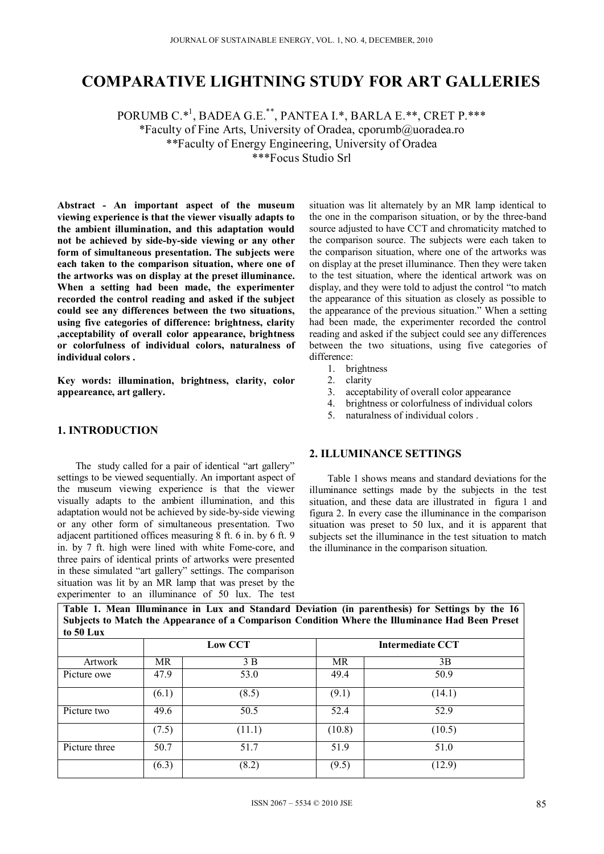## **COMPARATIVE LIGHTNING STUDY FOR ART GALLERIES**

PORUMB C.\*1 , BADEA G.E.\*\*, PANTEA I.\*, BARLA E.\*\*, CRET P.\*\*\* \*Faculty of Fine Arts, University of Oradea, cporumb@uoradea.ro \*\*Faculty of Energy Engineering, University of Oradea \*\*\*Focus Studio Srl

**Abstract - An important aspect of the museum viewing experience is that the viewer visually adapts to the ambient illumination, and this adaptation would not be achieved by side-by-side viewing or any other form of simultaneous presentation. The subjects were each taken to the comparison situation, where one of the artworks was on display at the preset illuminance. When a setting had been made, the experimenter recorded the control reading and asked if the subject could see any differences between the two situations, using five categories of difference: brightness, clarity ,acceptability of overall color appearance, brightness or colorfulness of individual colors, naturalness of individual colors .** 

**Key words: illumination, brightness, clarity, color appeareance, art gallery.** 

## **1. INTRODUCTION**

The study called for a pair of identical "art gallery" settings to be viewed sequentially. An important aspect of the museum viewing experience is that the viewer visually adapts to the ambient illumination, and this adaptation would not be achieved by side-by-side viewing or any other form of simultaneous presentation. Two adjacent partitioned offices measuring 8 ft. 6 in. by 6 ft. 9 in. by 7 ft. high were lined with white Fome-core, and three pairs of identical prints of artworks were presented in these simulated "art gallery" settings. The comparison situation was lit by an MR lamp that was preset by the experimenter to an illuminance of 50 lux. The test

situation was lit alternately by an MR lamp identical to the one in the comparison situation, or by the three-band source adjusted to have CCT and chromaticity matched to the comparison source. The subjects were each taken to the comparison situation, where one of the artworks was on display at the preset illuminance. Then they were taken to the test situation, where the identical artwork was on display, and they were told to adjust the control "to match the appearance of this situation as closely as possible to the appearance of the previous situation." When a setting had been made, the experimenter recorded the control reading and asked if the subject could see any differences between the two situations, using five categories of difference:

- 1. brightness
- 2. clarity
- 3. acceptability of overall color appearance<br>4. brightness or colorfulness of individual c
- 4. brightness or colorfulness of individual colors<br>5. naturalness of individual colors
- 5. naturalness of individual colors .

#### **2. ILLUMINANCE SETTINGS**

Table 1 shows means and standard deviations for the illuminance settings made by the subjects in the test situation, and these data are illustrated in figura 1 and figura 2. In every case the illuminance in the comparison situation was preset to 50 lux, and it is apparent that subjects set the illuminance in the test situation to match the illuminance in the comparison situation.

| Subjects to Match the Appearance of a Comparison Condition Where the Illuminance Had Been Preset<br>to 50 Lux |     |                |                  |      |  |  |  |  |  |
|---------------------------------------------------------------------------------------------------------------|-----|----------------|------------------|------|--|--|--|--|--|
|                                                                                                               |     | <b>Low CCT</b> | Intermediate CCT |      |  |  |  |  |  |
| Artwork                                                                                                       | MR  | 3 B            | MR               | 3B   |  |  |  |  |  |
| Picture owe                                                                                                   | 479 | 53.0           | 494              | 50.9 |  |  |  |  |  |

Picture two 49.6 50.5 52.4 52.9

Picture three 50.7 51.7 51.9 51.9 51.0

 $(6.1)$   $(8.5)$   $(9.1)$   $(14.1)$ 

 $(7.5)$   $(11.1)$   $(10.8)$   $(10.5)$ 

 $(6.3)$   $(8.2)$   $(9.5)$   $(12.9)$ 

**Table 1. Mean Illuminance in Lux and Standard Deviation (in parenthesis) for Settings by the 16**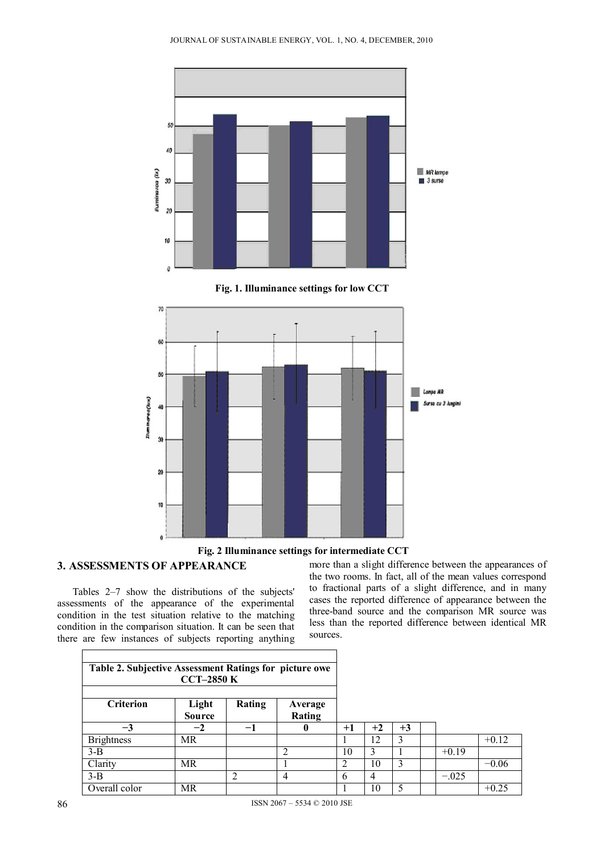



## **3. ASSESSMENTS OF APPEARANCE**

 Tables 2–7 show the distributions of the subjects' assessments of the appearance of the experimental condition in the test situation relative to the matching condition in the comparison situation. It can be seen that there are few instances of subjects reporting anything more than a slight difference between the appearances of the two rooms. In fact, all of the mean values correspond to fractional parts of a slight difference, and in many cases the reported difference of appearance between the three-band source and the comparison MR source was less than the reported difference between identical MR sources.

| Table 2. Subjective Assessment Ratings for picture owe<br>$CCT-2850K$ |                        |        |                   |      |      |      |         |         |
|-----------------------------------------------------------------------|------------------------|--------|-------------------|------|------|------|---------|---------|
| <b>Criterion</b>                                                      | Light<br><b>Source</b> | Rating | Average<br>Rating |      |      |      |         |         |
| $-3$                                                                  | $-2$                   | $-1$   | U                 | $+1$ | $+2$ | $+3$ |         |         |
| <b>Brightness</b>                                                     | <b>MR</b>              |        |                   |      | 12   | 3    |         | $+0.12$ |
| $3-B$                                                                 |                        |        | ി                 | 10   |      |      | $+0.19$ |         |
| Clarity                                                               | MR                     |        |                   | 2    | 10   | 3    |         | $-0.06$ |
| $3-B$                                                                 |                        | ↑      | 4                 | 6    | 4    |      | $-.025$ |         |
| Overall color                                                         | MR                     |        |                   |      | 10   | 5    |         | $+0.25$ |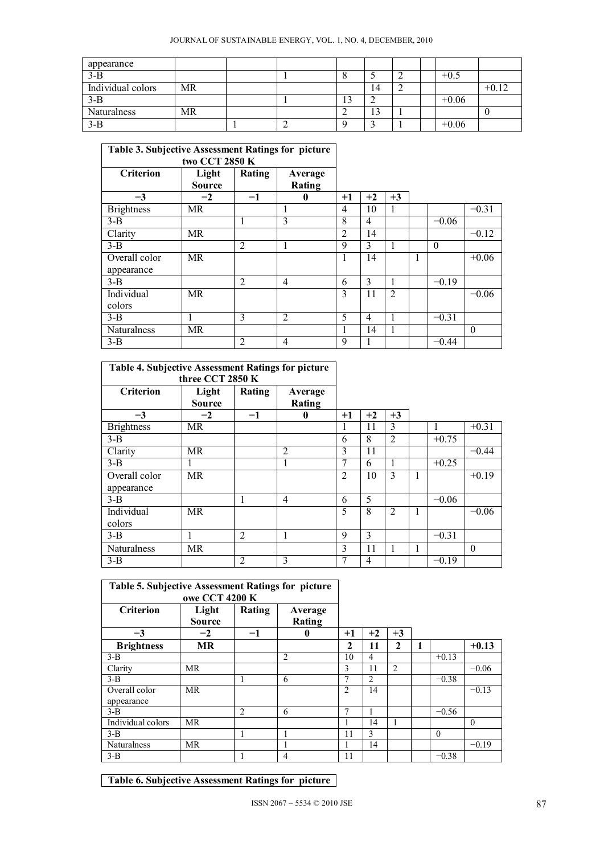| appearance        |    |  |           |    |  |         |         |
|-------------------|----|--|-----------|----|--|---------|---------|
| $3-B$             |    |  |           |    |  | $+0.5$  |         |
| Individual colors | MR |  |           | 14 |  |         | $+0.12$ |
| $3-B$             |    |  | ר ו<br>IJ |    |  | $+0.06$ |         |
| Naturalness       | MR |  |           | 13 |  |         |         |
| $3-B$             |    |  |           |    |  | $+0.06$ |         |

# **Table 3. Subjective Assessment Ratings for picture**

| two CCT 2850 K    |                        |                |                   |                |                |                |   |          |          |
|-------------------|------------------------|----------------|-------------------|----------------|----------------|----------------|---|----------|----------|
| <b>Criterion</b>  | Light<br><b>Source</b> | Rating         | Average<br>Rating |                |                |                |   |          |          |
| $-3$              | $-2$                   | $-1$           | 0                 | $+1$           | $+2$           | $+3$           |   |          |          |
| <b>Brightness</b> | MR                     |                | 1                 | 4              | 10             | I.             |   |          | $-0.31$  |
| $3-B$             |                        |                | 3                 | 8              | 4              |                |   | $-0.06$  |          |
| Clarity           | <b>MR</b>              |                |                   | $\overline{2}$ | 14             |                |   |          | $-0.12$  |
| $3-B$             |                        | $\overline{2}$ | 1                 | 9              | 3              | 1              |   | $\theta$ |          |
| Overall color     | MR                     |                |                   | л.             | 14             |                | 1 |          | $+0.06$  |
| appearance        |                        |                |                   |                |                |                |   |          |          |
| $3-B$             |                        | $\overline{2}$ | $\overline{4}$    | 6              | 3              | 1              |   | $-0.19$  |          |
| Individual        | MR                     |                |                   | 3              | 11             | $\overline{2}$ |   |          | $-0.06$  |
| colors            |                        |                |                   |                |                |                |   |          |          |
| $3-B$             | 1                      | 3              | $\overline{2}$    | 5              | $\overline{4}$ |                |   | $-0.31$  |          |
| Naturalness       | MR                     |                |                   |                | 14             | 1              |   |          | $\theta$ |
| $3-B$             |                        | $\overline{2}$ | $\overline{4}$    | 9              |                |                |   | $-0.44$  |          |

| Table 4. Subjective Assessment Ratings for picture<br>three CCT 2850 K |                        |                |                   |                |      |                |   |         |          |
|------------------------------------------------------------------------|------------------------|----------------|-------------------|----------------|------|----------------|---|---------|----------|
| <b>Criterion</b>                                                       | Light<br><b>Source</b> | Rating         | Average<br>Rating |                |      |                |   |         |          |
| $-3$                                                                   | $-2$                   | -1             | 0                 | $+1$           | $+2$ | $+3$           |   |         |          |
| <b>Brightness</b>                                                      | <b>MR</b>              |                |                   |                | 11   | 3              |   | 1       | $+0.31$  |
| $3-B$                                                                  |                        |                |                   | 6              | 8    | $\overline{2}$ |   | $+0.75$ |          |
| Clarity                                                                | <b>MR</b>              |                | $\overline{2}$    | 3              | 11   |                |   |         | $-0.44$  |
| $3-B$                                                                  |                        |                | л.                | 7              | 6    | 1              |   | $+0.25$ |          |
| Overall color                                                          | MR.                    |                |                   | $\overline{2}$ | 10   | 3              | 1 |         | $+0.19$  |
| appearance                                                             |                        |                |                   |                |      |                |   |         |          |
| $3 - B$                                                                |                        | 1              | $\overline{4}$    | 6              | 5    |                |   | $-0.06$ |          |
| Individual                                                             | MR                     |                |                   | 5              | 8    | $\overline{2}$ |   |         | $-0.06$  |
| colors                                                                 |                        |                |                   |                |      |                |   |         |          |
| $3-B$                                                                  | 1                      | $\overline{2}$ | 1                 | 9              | 3    |                |   | $-0.31$ |          |
| <b>Naturalness</b>                                                     | <b>MR</b>              |                |                   | 3              | 11   | 1              |   |         | $\Omega$ |
| $3 - B$                                                                |                        | $\overline{2}$ | 3                 | 7              | 4    |                |   | $-0.19$ |          |

| Table 5. Subjective Assessment Ratings for picture<br>owe CCT 4200 K |                        |                |                   |                |                |                |          |          |
|----------------------------------------------------------------------|------------------------|----------------|-------------------|----------------|----------------|----------------|----------|----------|
| <b>Criterion</b>                                                     | Light<br><b>Source</b> | Rating         | Average<br>Rating |                |                |                |          |          |
| $-3$                                                                 | $-2$                   | $-1$           | 0                 | $+1$           | $+2$           | $+3$           |          |          |
| <b>Brightness</b>                                                    | <b>MR</b>              |                |                   | $\mathbf{2}$   | 11             | $\mathbf{2}$   |          | $+0.13$  |
| $3-B$                                                                |                        |                | 2                 | 10             | 4              |                | $+0.13$  |          |
| Clarity                                                              | <b>MR</b>              |                |                   | 3              | 11             | $\overline{c}$ |          | $-0.06$  |
| $3-B$                                                                |                        | 1              | 6                 | 7              | $\mathfrak{D}$ |                | $-0.38$  |          |
| Overall color                                                        | <b>MR</b>              |                |                   | $\overline{2}$ | 14             |                |          | $-0.13$  |
| appearance                                                           |                        |                |                   |                |                |                |          |          |
| $3-B$                                                                |                        | $\overline{2}$ | 6                 | 7              |                |                | $-0.56$  |          |
| Individual colors                                                    | <b>MR</b>              |                |                   |                | 14             |                |          | $\theta$ |
| $3 - B$                                                              |                        | $\mathbf{1}$   |                   | 11             | 3              |                | $\Omega$ |          |
| Naturalness                                                          | MR                     |                |                   |                | 14             |                |          | $-0.19$  |
| $3-B$                                                                |                        | 1              | $\overline{4}$    | 11             |                |                | $-0.38$  |          |

**Table 6. Subjective Assessment Ratings for picture**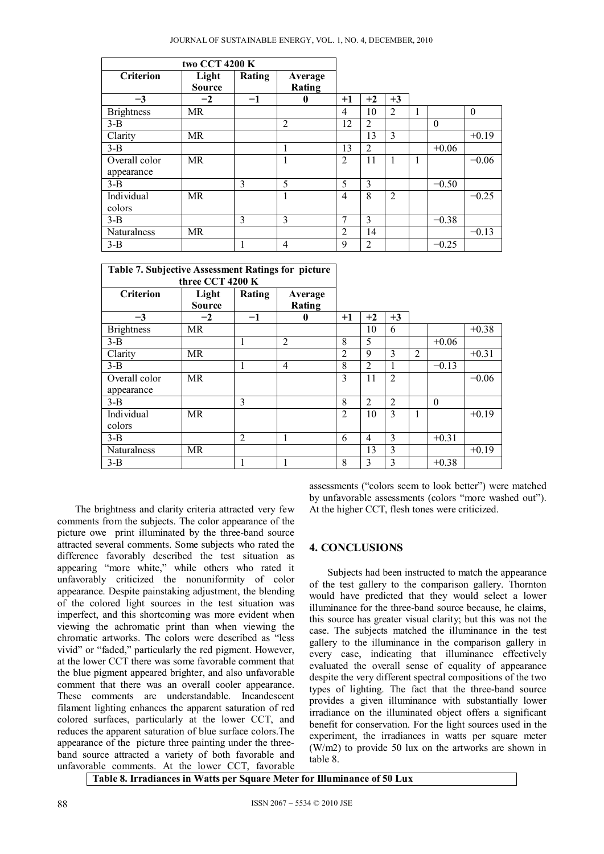|                    | two CCT 4200 K         |        |                   |                |                |                |   |          |          |
|--------------------|------------------------|--------|-------------------|----------------|----------------|----------------|---|----------|----------|
| <b>Criterion</b>   | Light<br><b>Source</b> | Rating | Average<br>Rating |                |                |                |   |          |          |
| $-3$               | $-2$                   | $-1$   | 0                 | $+1$           | $+2$           | $+3$           |   |          |          |
| <b>Brightness</b>  | MR                     |        |                   | $\overline{4}$ | 10             | $\overline{2}$ | 1 |          | $\theta$ |
| $3-B$              |                        |        | $\overline{2}$    | 12             | $\overline{2}$ |                |   | $\theta$ |          |
| Clarity            | MR                     |        |                   |                | 13             | $\mathcal{E}$  |   |          | $+0.19$  |
| $3-B$              |                        |        | 1                 | 13             | $\overline{2}$ |                |   | $+0.06$  |          |
| Overall color      | MR                     |        | 1                 | $\overline{c}$ | 11             |                | 1 |          | $-0.06$  |
| appearance         |                        |        |                   |                |                |                |   |          |          |
| $3-B$              |                        | 3      | 5                 | 5              | 3              |                |   | $-0.50$  |          |
| Individual         | MR                     |        |                   | $\overline{4}$ | 8              | $\overline{2}$ |   |          | $-0.25$  |
| colors             |                        |        |                   |                |                |                |   |          |          |
| $3-B$              |                        | 3      | 3                 | $\mathcal{I}$  | 3              |                |   | $-0.38$  |          |
| <b>Naturalness</b> | MR                     |        |                   | $\overline{2}$ | 14             |                |   |          | $-0.13$  |
| $3 - B$            |                        | 1      | $\overline{4}$    | 9              | $\overline{2}$ |                |   | $-0.25$  |          |

| Table 7. Subjective Assessment Ratings for picture |                        |                |                   |                |                |                |                |          |         |
|----------------------------------------------------|------------------------|----------------|-------------------|----------------|----------------|----------------|----------------|----------|---------|
|                                                    | three CCT 4200 K       |                |                   |                |                |                |                |          |         |
| <b>Criterion</b>                                   | Light<br><b>Source</b> | Rating         | Average<br>Rating |                |                |                |                |          |         |
| $-3$                                               | $-2$                   | $-1$           | U                 | $+1$           | $+2$           | $+3$           |                |          |         |
| <b>Brightness</b>                                  | <b>MR</b>              |                |                   |                | 10             | 6              |                |          | $+0.38$ |
| $3-B$                                              |                        | 1              | $\overline{2}$    | 8              | 5              |                |                | $+0.06$  |         |
| Clarity                                            | MR                     |                |                   | $\overline{2}$ | 9              | 3              | $\overline{2}$ |          | $+0.31$ |
| $3-B$                                              |                        |                | 4                 | 8              | $\overline{2}$ | 1              |                | $-0.13$  |         |
| Overall color                                      | <b>MR</b>              |                |                   | 3              | 11             | $\overline{2}$ |                |          | $-0.06$ |
| appearance                                         |                        |                |                   |                |                |                |                |          |         |
| $3-B$                                              |                        | 3              |                   | 8              | $\overline{2}$ | $\overline{2}$ |                | $\theta$ |         |
| Individual                                         | MR                     |                |                   | $\overline{2}$ | 10             | 3              |                |          | $+0.19$ |
| colors                                             |                        |                |                   |                |                |                |                |          |         |
| $3-B$                                              |                        | $\overline{2}$ |                   | 6              | 4              | 3              |                | $+0.31$  |         |
| <b>Naturalness</b>                                 | MR                     |                |                   |                | 13             | 3              |                |          | $+0.19$ |
| $3 - B$                                            |                        | 1              | л.                | 8              | 3              | 3              |                | $+0.38$  |         |

 The brightness and clarity criteria attracted very few comments from the subjects. The color appearance of the picture owe print illuminated by the three-band source attracted several comments. Some subjects who rated the difference favorably described the test situation as appearing "more white," while others who rated it unfavorably criticized the nonuniformity of color appearance. Despite painstaking adjustment, the blending of the colored light sources in the test situation was imperfect, and this shortcoming was more evident when viewing the achromatic print than when viewing the chromatic artworks. The colors were described as "less vivid" or "faded," particularly the red pigment. However, at the lower CCT there was some favorable comment that the blue pigment appeared brighter, and also unfavorable comment that there was an overall cooler appearance. These comments are understandable. Incandescent filament lighting enhances the apparent saturation of red colored surfaces, particularly at the lower CCT, and reduces the apparent saturation of blue surface colors.The appearance of the picture three painting under the threeband source attracted a variety of both favorable and unfavorable comments. At the lower CCT, favorable

assessments ("colors seem to look better") were matched by unfavorable assessments (colors "more washed out"). At the higher CCT, flesh tones were criticized.

### **4. CONCLUSIONS**

Subjects had been instructed to match the appearance of the test gallery to the comparison gallery. Thornton would have predicted that they would select a lower illuminance for the three-band source because, he claims, this source has greater visual clarity; but this was not the case. The subjects matched the illuminance in the test gallery to the illuminance in the comparison gallery in every case, indicating that illuminance effectively evaluated the overall sense of equality of appearance despite the very different spectral compositions of the two types of lighting. The fact that the three-band source provides a given illuminance with substantially lower irradiance on the illuminated object offers a significant benefit for conservation. For the light sources used in the experiment, the irradiances in watts per square meter (W/m2) to provide 50 lux on the artworks are shown in table 8.

**Table 8. Irradiances in Watts per Square Meter for Illuminance of 50 Lux**